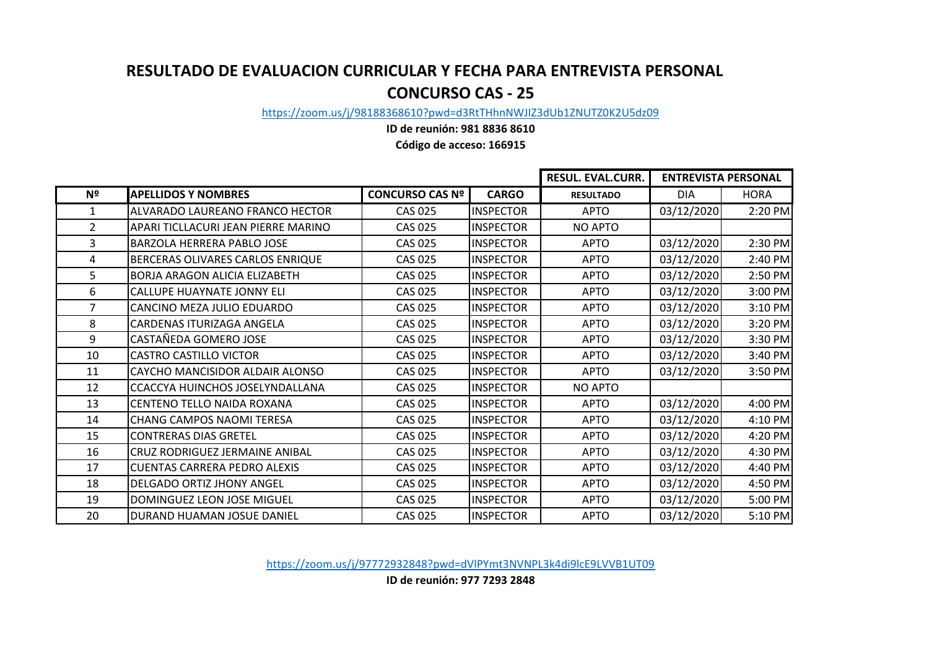## **RESULTADO DE EVALUACION CURRICULAR Y FECHA PARA ENTREVISTA PERSONAL CONCURSO CAS - 25**

[https://zoom.us/j/98](https://zoom.us/j/98188368610?pwd=d3RtTHhnNWJIZ3dUb1ZNUTZ0K2U5dz09)188368610?pwd=d3RtTHhnNWJIZ3dUb1ZNUTZ0K2U5dz09

**ID de reunión: 981 8836 8610**

**Código de acceso: 166915**

|                |                                      |                        |                  | <b>RESUL. EVAL.CURR.</b> | <b>ENTREVISTA PERSONAL</b> |             |
|----------------|--------------------------------------|------------------------|------------------|--------------------------|----------------------------|-------------|
| Nº             | <b>APELLIDOS Y NOMBRES</b>           | <b>CONCURSO CAS Nº</b> | <b>CARGO</b>     | <b>RESULTADO</b>         | <b>DIA</b>                 | <b>HORA</b> |
| $\mathbf{1}$   | ALVARADO LAUREANO FRANCO HECTOR      | <b>CAS 025</b>         | <b>INSPECTOR</b> | <b>APTO</b>              | 03/12/2020                 | 2:20 PM     |
| $\overline{2}$ | APARI TICLLACURI JEAN PIERRE MARINO  | <b>CAS 025</b>         | <b>INSPECTOR</b> | NO APTO                  |                            |             |
| 3              | BARZOLA HERRERA PABLO JOSE           | <b>CAS 025</b>         | <b>INSPECTOR</b> | <b>APTO</b>              | 03/12/2020                 | 2:30 PM     |
| 4              | BERCERAS OLIVARES CARLOS ENRIQUE     | <b>CAS 025</b>         | <b>INSPECTOR</b> | <b>APTO</b>              | 03/12/2020                 | 2:40 PM     |
| 5              | <b>BORJA ARAGON ALICIA ELIZABETH</b> | <b>CAS 025</b>         | <b>INSPECTOR</b> | <b>APTO</b>              | 03/12/2020                 | 2:50 PM     |
| 6              | CALLUPE HUAYNATE JONNY ELI           | <b>CAS 025</b>         | <b>INSPECTOR</b> | <b>APTO</b>              | 03/12/2020                 | 3:00 PM     |
| $\overline{7}$ | CANCINO MEZA JULIO EDUARDO           | <b>CAS 025</b>         | <b>INSPECTOR</b> | <b>APTO</b>              | 03/12/2020                 | 3:10 PM     |
| 8              | CARDENAS ITURIZAGA ANGELA            | <b>CAS 025</b>         | <b>INSPECTOR</b> | <b>APTO</b>              | 03/12/2020                 | 3:20 PM     |
| 9              | CASTAÑEDA GOMERO JOSE                | <b>CAS 025</b>         | <b>INSPECTOR</b> | <b>APTO</b>              | 03/12/2020                 | 3:30 PM     |
| 10             | <b>CASTRO CASTILLO VICTOR</b>        | <b>CAS 025</b>         | <b>INSPECTOR</b> | <b>APTO</b>              | 03/12/2020                 | 3:40 PM     |
| 11             | CAYCHO MANCISIDOR ALDAIR ALONSO      | <b>CAS 025</b>         | <b>INSPECTOR</b> | <b>APTO</b>              | 03/12/2020                 | 3:50 PM     |
| 12             | CCACCYA HUINCHOS JOSELYNDALLANA      | <b>CAS 025</b>         | <b>INSPECTOR</b> | NO APTO                  |                            |             |
| 13             | CENTENO TELLO NAIDA ROXANA           | <b>CAS 025</b>         | <b>INSPECTOR</b> | <b>APTO</b>              | 03/12/2020                 | 4:00 PM     |
| 14             | CHANG CAMPOS NAOMI TERESA            | <b>CAS 025</b>         | <b>INSPECTOR</b> | <b>APTO</b>              | 03/12/2020                 | 4:10 PM     |
| 15             | <b>CONTRERAS DIAS GRETEL</b>         | <b>CAS 025</b>         | <b>INSPECTOR</b> | <b>APTO</b>              | 03/12/2020                 | 4:20 PM     |
| 16             | CRUZ RODRIGUEZ JERMAINE ANIBAL       | <b>CAS 025</b>         | <b>INSPECTOR</b> | <b>APTO</b>              | 03/12/2020                 | 4:30 PM     |
| 17             | <b>CUENTAS CARRERA PEDRO ALEXIS</b>  | CAS 025                | <b>INSPECTOR</b> | <b>APTO</b>              | 03/12/2020                 | 4:40 PM     |
| 18             | <b>DELGADO ORTIZ JHONY ANGEL</b>     | <b>CAS 025</b>         | <b>INSPECTOR</b> | <b>APTO</b>              | 03/12/2020                 | 4:50 PM     |
| 19             | DOMINGUEZ LEON JOSE MIGUEL           | <b>CAS 025</b>         | <b>INSPECTOR</b> | <b>APTO</b>              | 03/12/2020                 | 5:00 PM     |
| 20             | DURAND HUAMAN JOSUE DANIEL           | <b>CAS 025</b>         | <b>INSPECTOR</b> | <b>APTO</b>              | 03/12/2020                 | 5:10 PM     |

[https://zoom.us/j/9](https://zoom.us/j/97772932848?pwd=dVlPYmt3NVNPL3k4di9lcE9LVVB1UT09)7772932848?pwd=dVlPYmt3NVNPL3k4di9lcE9LVVB1UT09

**ID de reunión: 977 7293 2848**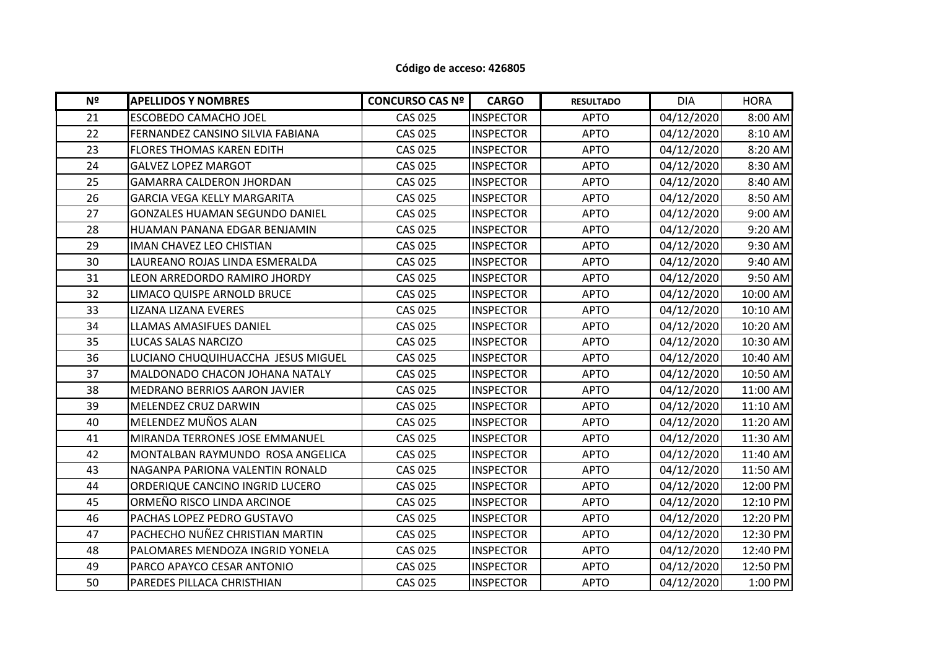## **Código de acceso: 426805**

| Nº | <b>APELLIDOS Y NOMBRES</b>         | <b>CONCURSO CAS Nº</b> | <b>CARGO</b>     | <b>RESULTADO</b> | <b>DIA</b> | <b>HORA</b> |
|----|------------------------------------|------------------------|------------------|------------------|------------|-------------|
| 21 | <b>ESCOBEDO CAMACHO JOEL</b>       | <b>CAS 025</b>         | <b>INSPECTOR</b> | <b>APTO</b>      | 04/12/2020 | 8:00 AM     |
| 22 | FERNANDEZ CANSINO SILVIA FABIANA   | <b>CAS 025</b>         | <b>INSPECTOR</b> | <b>APTO</b>      | 04/12/2020 | 8:10 AM     |
| 23 | <b>FLORES THOMAS KAREN EDITH</b>   | <b>CAS 025</b>         | <b>INSPECTOR</b> | <b>APTO</b>      | 04/12/2020 | 8:20 AM     |
| 24 | <b>GALVEZ LOPEZ MARGOT</b>         | <b>CAS 025</b>         | <b>INSPECTOR</b> | <b>APTO</b>      | 04/12/2020 | 8:30 AM     |
| 25 | <b>GAMARRA CALDERON JHORDAN</b>    | <b>CAS 025</b>         | <b>INSPECTOR</b> | <b>APTO</b>      | 04/12/2020 | 8:40 AM     |
| 26 | <b>GARCIA VEGA KELLY MARGARITA</b> | <b>CAS 025</b>         | <b>INSPECTOR</b> | <b>APTO</b>      | 04/12/2020 | 8:50 AM     |
| 27 | GONZALES HUAMAN SEGUNDO DANIEL     | <b>CAS 025</b>         | <b>INSPECTOR</b> | <b>APTO</b>      | 04/12/2020 | $9:00$ AM   |
| 28 | HUAMAN PANANA EDGAR BENJAMIN       | <b>CAS 025</b>         | <b>INSPECTOR</b> | <b>APTO</b>      | 04/12/2020 | 9:20 AM     |
| 29 | <b>IMAN CHAVEZ LEO CHISTIAN</b>    | <b>CAS 025</b>         | <b>INSPECTOR</b> | <b>APTO</b>      | 04/12/2020 | 9:30 AM     |
| 30 | LAUREANO ROJAS LINDA ESMERALDA     | <b>CAS 025</b>         | <b>INSPECTOR</b> | <b>APTO</b>      | 04/12/2020 | 9:40 AM     |
| 31 | LEON ARREDORDO RAMIRO JHORDY       | <b>CAS 025</b>         | <b>INSPECTOR</b> | <b>APTO</b>      | 04/12/2020 | 9:50 AM     |
| 32 | LIMACO QUISPE ARNOLD BRUCE         | <b>CAS 025</b>         | <b>INSPECTOR</b> | <b>APTO</b>      | 04/12/2020 | 10:00 AM    |
| 33 | LIZANA LIZANA EVERES               | <b>CAS 025</b>         | <b>INSPECTOR</b> | <b>APTO</b>      | 04/12/2020 | 10:10 AM    |
| 34 | LLAMAS AMASIFUES DANIEL            | <b>CAS 025</b>         | <b>INSPECTOR</b> | <b>APTO</b>      | 04/12/2020 | 10:20 AM    |
| 35 | LUCAS SALAS NARCIZO                | <b>CAS 025</b>         | <b>INSPECTOR</b> | <b>APTO</b>      | 04/12/2020 | 10:30 AM    |
| 36 | LUCIANO CHUQUIHUACCHA JESUS MIGUEL | <b>CAS 025</b>         | <b>INSPECTOR</b> | <b>APTO</b>      | 04/12/2020 | 10:40 AM    |
| 37 | MALDONADO CHACON JOHANA NATALY     | <b>CAS 025</b>         | <b>INSPECTOR</b> | <b>APTO</b>      | 04/12/2020 | 10:50 AM    |
| 38 | MEDRANO BERRIOS AARON JAVIER       | <b>CAS 025</b>         | <b>INSPECTOR</b> | <b>APTO</b>      | 04/12/2020 | 11:00 AM    |
| 39 | MELENDEZ CRUZ DARWIN               | <b>CAS 025</b>         | <b>INSPECTOR</b> | <b>APTO</b>      | 04/12/2020 | 11:10 AM    |
| 40 | MELENDEZ MUÑOS ALAN                | <b>CAS 025</b>         | <b>INSPECTOR</b> | <b>APTO</b>      | 04/12/2020 | 11:20 AM    |
| 41 | MIRANDA TERRONES JOSE EMMANUEL     | <b>CAS 025</b>         | <b>INSPECTOR</b> | <b>APTO</b>      | 04/12/2020 | 11:30 AM    |
| 42 | MONTALBAN RAYMUNDO ROSA ANGELICA   | <b>CAS 025</b>         | <b>INSPECTOR</b> | <b>APTO</b>      | 04/12/2020 | 11:40 AM    |
| 43 | NAGANPA PARIONA VALENTIN RONALD    | <b>CAS 025</b>         | <b>INSPECTOR</b> | <b>APTO</b>      | 04/12/2020 | 11:50 AM    |
| 44 | ORDERIQUE CANCINO INGRID LUCERO    | <b>CAS 025</b>         | <b>INSPECTOR</b> | <b>APTO</b>      | 04/12/2020 | 12:00 PM    |
| 45 | ORMEÑO RISCO LINDA ARCINOE         | <b>CAS 025</b>         | <b>INSPECTOR</b> | <b>APTO</b>      | 04/12/2020 | 12:10 PM    |
| 46 | PACHAS LOPEZ PEDRO GUSTAVO         | <b>CAS 025</b>         | <b>INSPECTOR</b> | <b>APTO</b>      | 04/12/2020 | 12:20 PM    |
| 47 | PACHECHO NUÑEZ CHRISTIAN MARTIN    | <b>CAS 025</b>         | <b>INSPECTOR</b> | <b>APTO</b>      | 04/12/2020 | 12:30 PM    |
| 48 | PALOMARES MENDOZA INGRID YONELA    | <b>CAS 025</b>         | <b>INSPECTOR</b> | <b>APTO</b>      | 04/12/2020 | 12:40 PM    |
| 49 | PARCO APAYCO CESAR ANTONIO         | <b>CAS 025</b>         | <b>INSPECTOR</b> | <b>APTO</b>      | 04/12/2020 | 12:50 PM    |
| 50 | PAREDES PILLACA CHRISTHIAN         | <b>CAS 025</b>         | <b>INSPECTOR</b> | <b>APTO</b>      | 04/12/2020 | 1:00 PM     |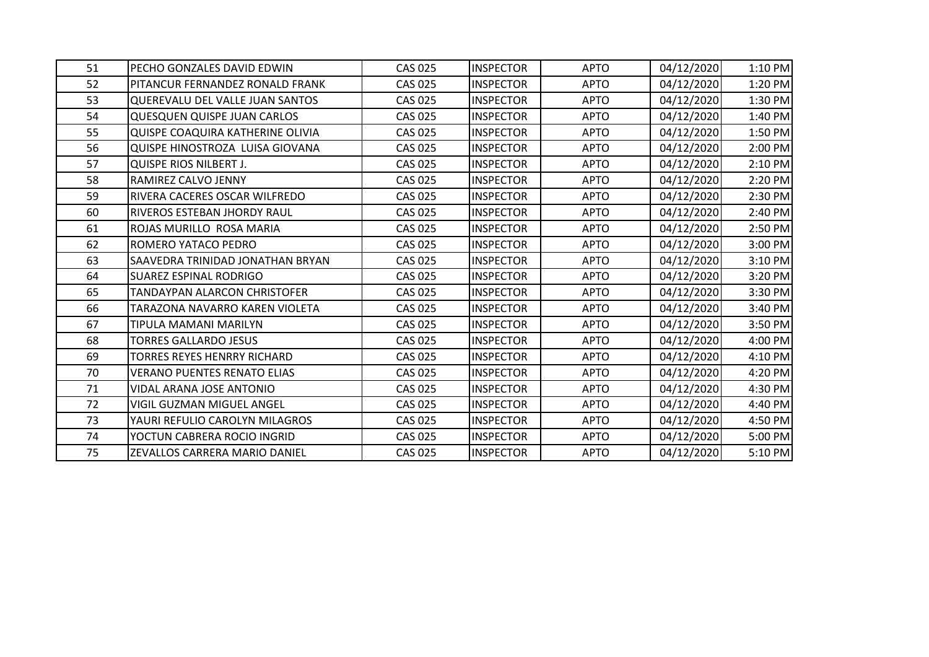| 51 | PECHO GONZALES DAVID EDWIN         | <b>CAS 025</b> | <b>INSPECTOR</b> | <b>APTO</b> | 04/12/2020 | 1:10 PM |
|----|------------------------------------|----------------|------------------|-------------|------------|---------|
| 52 | PITANCUR FERNANDEZ RONALD FRANK    | <b>CAS 025</b> | <b>INSPECTOR</b> | <b>APTO</b> | 04/12/2020 | 1:20 PM |
| 53 | QUEREVALU DEL VALLE JUAN SANTOS    | <b>CAS 025</b> | <b>INSPECTOR</b> | <b>APTO</b> | 04/12/2020 | 1:30 PM |
| 54 | <b>QUESQUEN QUISPE JUAN CARLOS</b> | <b>CAS 025</b> | <b>INSPECTOR</b> | <b>APTO</b> | 04/12/2020 | 1:40 PM |
| 55 | QUISPE COAQUIRA KATHERINE OLIVIA   | <b>CAS 025</b> | <b>INSPECTOR</b> | <b>APTO</b> | 04/12/2020 | 1:50 PM |
| 56 | QUISPE HINOSTROZA LUISA GIOVANA    | <b>CAS 025</b> | <b>INSPECTOR</b> | <b>APTO</b> | 04/12/2020 | 2:00 PM |
| 57 | <b>QUISPE RIOS NILBERT J.</b>      | <b>CAS 025</b> | <b>INSPECTOR</b> | <b>APTO</b> | 04/12/2020 | 2:10 PM |
| 58 | RAMIREZ CALVO JENNY                | <b>CAS 025</b> | <b>INSPECTOR</b> | <b>APTO</b> | 04/12/2020 | 2:20 PM |
| 59 | RIVERA CACERES OSCAR WILFREDO      | <b>CAS 025</b> | <b>INSPECTOR</b> | <b>APTO</b> | 04/12/2020 | 2:30 PM |
| 60 | RIVEROS ESTEBAN JHORDY RAUL        | <b>CAS 025</b> | <b>INSPECTOR</b> | <b>APTO</b> | 04/12/2020 | 2:40 PM |
| 61 | ROJAS MURILLO ROSA MARIA           | <b>CAS 025</b> | <b>INSPECTOR</b> | <b>APTO</b> | 04/12/2020 | 2:50 PM |
| 62 | ROMERO YATACO PEDRO                | <b>CAS 025</b> | <b>INSPECTOR</b> | <b>APTO</b> | 04/12/2020 | 3:00 PM |
| 63 | SAAVEDRA TRINIDAD JONATHAN BRYAN   | <b>CAS 025</b> | <b>INSPECTOR</b> | <b>APTO</b> | 04/12/2020 | 3:10 PM |
| 64 | <b>SUAREZ ESPINAL RODRIGO</b>      | CAS 025        | <b>INSPECTOR</b> | <b>APTO</b> | 04/12/2020 | 3:20 PM |
| 65 | TANDAYPAN ALARCON CHRISTOFER       | <b>CAS 025</b> | <b>INSPECTOR</b> | <b>APTO</b> | 04/12/2020 | 3:30 PM |
| 66 | TARAZONA NAVARRO KAREN VIOLETA     | <b>CAS 025</b> | <b>INSPECTOR</b> | <b>APTO</b> | 04/12/2020 | 3:40 PM |
| 67 | TIPULA MAMANI MARILYN              | <b>CAS 025</b> | <b>INSPECTOR</b> | <b>APTO</b> | 04/12/2020 | 3:50 PM |
| 68 | TORRES GALLARDO JESUS              | <b>CAS 025</b> | <b>INSPECTOR</b> | <b>APTO</b> | 04/12/2020 | 4:00 PM |
| 69 | TORRES REYES HENRRY RICHARD        | <b>CAS 025</b> | <b>INSPECTOR</b> | <b>APTO</b> | 04/12/2020 | 4:10 PM |
| 70 | <b>VERANO PUENTES RENATO ELIAS</b> | <b>CAS 025</b> | <b>INSPECTOR</b> | <b>APTO</b> | 04/12/2020 | 4:20 PM |
| 71 | VIDAL ARANA JOSE ANTONIO           | <b>CAS 025</b> | <b>INSPECTOR</b> | <b>APTO</b> | 04/12/2020 | 4:30 PM |
| 72 | VIGIL GUZMAN MIGUEL ANGEL          | <b>CAS 025</b> | <b>INSPECTOR</b> | <b>APTO</b> | 04/12/2020 | 4:40 PM |
| 73 | YAURI REFULIO CAROLYN MILAGROS     | <b>CAS 025</b> | <b>INSPECTOR</b> | <b>APTO</b> | 04/12/2020 | 4:50 PM |
| 74 | YOCTUN CABRERA ROCIO INGRID        | <b>CAS 025</b> | <b>INSPECTOR</b> | <b>APTO</b> | 04/12/2020 | 5:00 PM |
| 75 | ZEVALLOS CARRERA MARIO DANIEL      | <b>CAS 025</b> | <b>INSPECTOR</b> | <b>APTO</b> | 04/12/2020 | 5:10 PM |